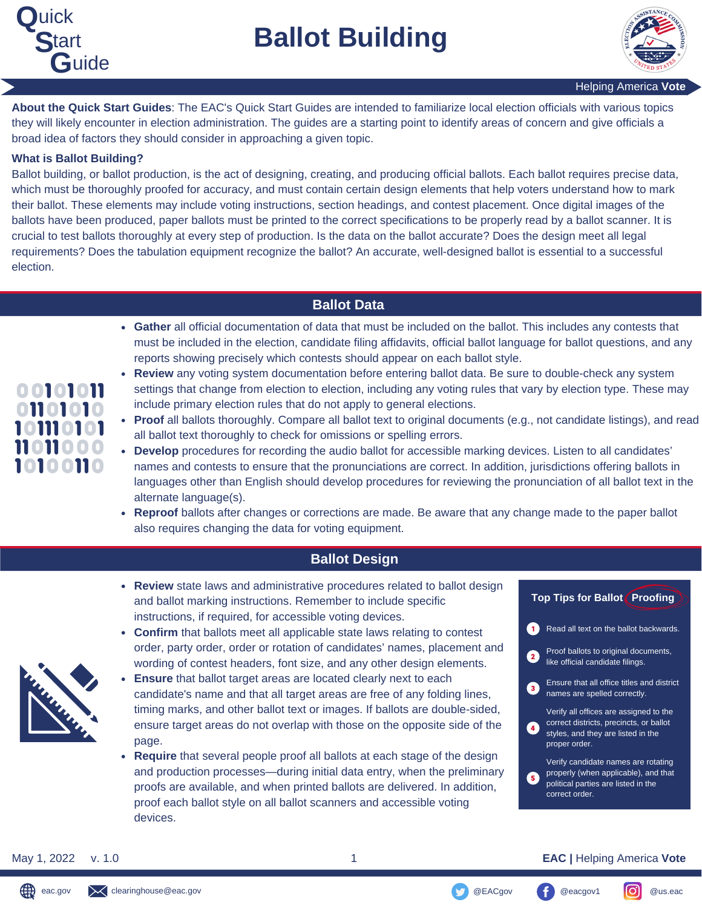

**Ballot Building**



**About the Quick Start Guides**: The EAC's Quick Start Guides are intended to familiarize local election officials with various topics they will likely encounter in election administration. The guides are a starting point to identify areas of concern and give officials a broad idea of factors they should consider in approaching a given topic.

### **What is Ballot Building?**

Ballot building, or ballot production, is the act of designing, creating, and producing official ballots. Each ballot requires precise data, which must be thoroughly proofed for accuracy, and must contain certain design elements that help voters understand how to mark their ballot. These elements may include voting instructions, section headings, and contest placement. Once digital images of the ballots have been produced, paper ballots must be printed to the correct specifications to be properly read by a ballot scanner. It is crucial to test ballots thoroughly at every step of production. Is the data on the ballot accurate? Does the design meet all legal requirements? Does the tabulation equipment recognize the ballot? An accurate, well-designed ballot is essential to a successful election.

# **Ballot Data**

- **Gather** all official documentation of data that must be included on the ballot. This includes any contests that must be included in the election, candidate filing affidavits, official ballot language for ballot questions, and any reports showing precisely which contests should appear on each ballot style.
- **Review** any voting system documentation before entering ballot data. Be sure to double-check any system  $\bullet$ settings that change from election to election, including any voting rules that vary by election type. These may include primary election rules that do not apply to general elections.
- **Proof** all ballots thoroughly. Compare all ballot text to original documents (e.g., not candidate listings), and read all ballot text thoroughly to check for omissions or spelling errors.
- **Develop** procedures for recording the audio ballot for accessible marking devices. Listen to all candidates' names and contests to ensure that the pronunciations are correct. In addition, jurisdictions offering ballots in languages other than English should develop procedures for reviewing the pronunciation of all ballot text in the alternate language(s).
- **Reproof** ballots after changes or corrections are made. Be aware that any change made to the paper ballot also requires changing the data for voting equipment.

# **Ballot Design**

**Review** state laws and administrative procedures related to ballot design **Top Tips for Ballot Proofing** and ballot marking instructions. Remember to include specific instructions, if required, for accessible voting devices. 0 Read all text on the ballot backwards. **Confirm** that ballots meet all applicable state laws relating to contest order, party order, order or rotation of candidates' names, placement and Proof ballots to original documents, like official candidate filings. wording of contest headers, font size, and any other design elements. **Ensure** that ballot target areas are located clearly next to each Ensure that all office titles and district  $\left( 3 \right)$ candidate's name and that all target areas are free of any folding lines, names are spelled correctly. timing marks, and other ballot text or images. If ballots are double-sided, Verify all offices are assigned to the correct districts, precincts, or ballot ensure target areas do not overlap with those on the opposite side of the styles, and they are listed in the page. proper order. **Require** that several people proof all ballots at each stage of the design Verify candidate names are rotating and production processes—during initial data entry, when the preliminary properly (when applicable), and that political parties are listed in the proofs are available, and when printed ballots are delivered. In addition, correct order. proof each ballot style on all ballot scanners and accessible voting devices.

#### May 1, 2022 v. 1.0 1 **EAC |** Helping America **Vote**

# 00101011 01101010 101110101 11011000 10100110